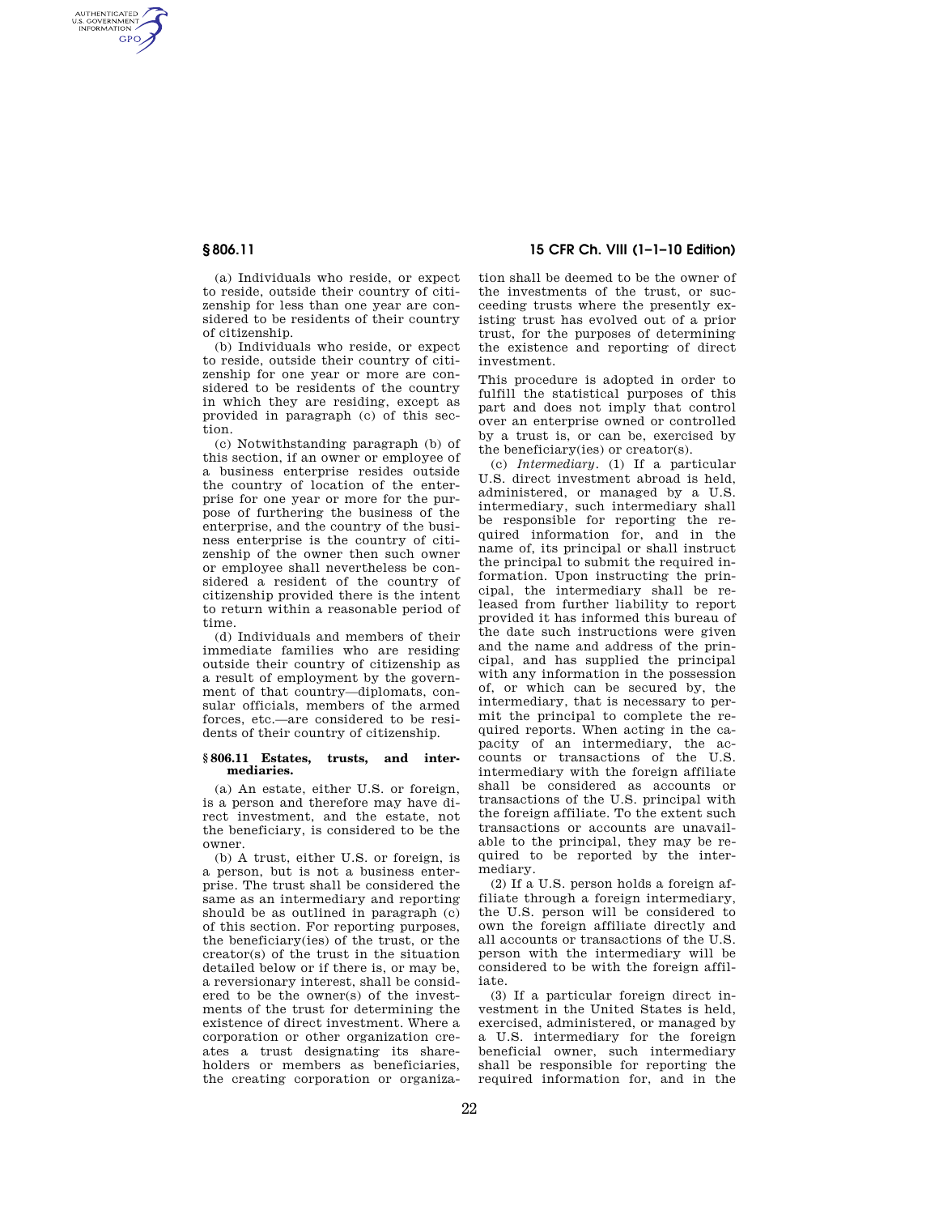AUTHENTICATED<br>U.S. GOVERNMENT<br>INFORMATION **GPO** 

**§ 806.11 15 CFR Ch. VIII (1–1–10 Edition)** 

(a) Individuals who reside, or expect to reside, outside their country of citizenship for less than one year are considered to be residents of their country of citizenship.

(b) Individuals who reside, or expect to reside, outside their country of citizenship for one year or more are considered to be residents of the country in which they are residing, except as provided in paragraph (c) of this section.

(c) Notwithstanding paragraph (b) of this section, if an owner or employee of a business enterprise resides outside the country of location of the enterprise for one year or more for the purpose of furthering the business of the enterprise, and the country of the business enterprise is the country of citizenship of the owner then such owner or employee shall nevertheless be considered a resident of the country of citizenship provided there is the intent to return within a reasonable period of time.

(d) Individuals and members of their immediate families who are residing outside their country of citizenship as a result of employment by the government of that country—diplomats, consular officials, members of the armed forces, etc.—are considered to be residents of their country of citizenship.

## **§ 806.11 Estates, trusts, and intermediaries.**

(a) An estate, either U.S. or foreign, is a person and therefore may have direct investment, and the estate, not the beneficiary, is considered to be the owner.

(b) A trust, either U.S. or foreign, is a person, but is not a business enterprise. The trust shall be considered the same as an intermediary and reporting should be as outlined in paragraph (c) of this section. For reporting purposes, the beneficiary(ies) of the trust, or the creator(s) of the trust in the situation detailed below or if there is, or may be, a reversionary interest, shall be considered to be the owner(s) of the investments of the trust for determining the existence of direct investment. Where a corporation or other organization creates a trust designating its shareholders or members as beneficiaries, the creating corporation or organization shall be deemed to be the owner of the investments of the trust, or succeeding trusts where the presently existing trust has evolved out of a prior trust, for the purposes of determining the existence and reporting of direct investment.

This procedure is adopted in order to fulfill the statistical purposes of this part and does not imply that control over an enterprise owned or controlled by a trust is, or can be, exercised by the beneficiary(ies) or creator(s).

(c) *Intermediary.* (1) If a particular U.S. direct investment abroad is held, administered, or managed by a U.S. intermediary, such intermediary shall be responsible for reporting the required information for, and in the name of, its principal or shall instruct the principal to submit the required information. Upon instructing the principal, the intermediary shall be released from further liability to report provided it has informed this bureau of the date such instructions were given and the name and address of the principal, and has supplied the principal with any information in the possession of, or which can be secured by, the intermediary, that is necessary to permit the principal to complete the required reports. When acting in the capacity of an intermediary, the accounts or transactions of the U.S. intermediary with the foreign affiliate shall be considered as accounts or transactions of the U.S. principal with the foreign affiliate. To the extent such transactions or accounts are unavailable to the principal, they may be required to be reported by the intermediary.

(2) If a U.S. person holds a foreign affiliate through a foreign intermediary, the U.S. person will be considered to own the foreign affiliate directly and all accounts or transactions of the U.S. person with the intermediary will be considered to be with the foreign affiliate.

(3) If a particular foreign direct investment in the United States is held, exercised, administered, or managed by a U.S. intermediary for the foreign beneficial owner, such intermediary shall be responsible for reporting the required information for, and in the